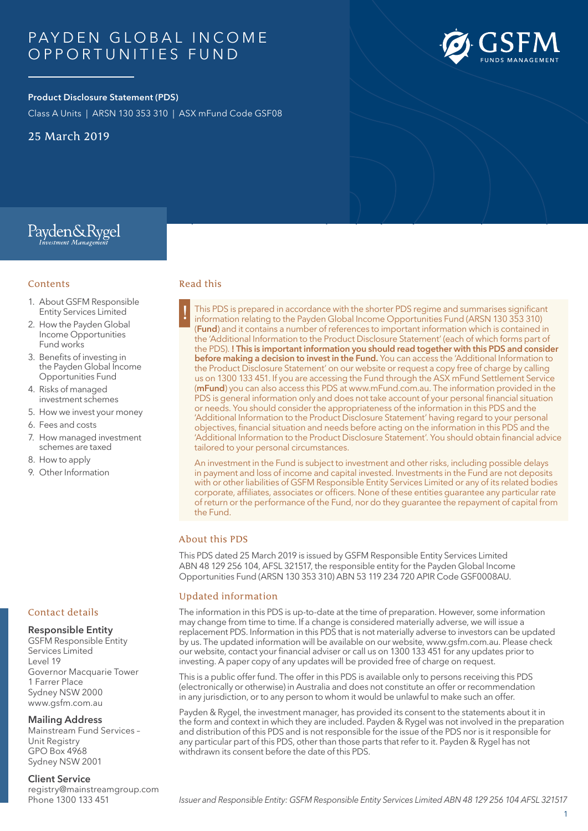# PAYDEN GLOBAL INCOME O PPORTUNITIES FUND

# **Product Disclosure Statement (PDS)**

Class A Units | ARSN 130 353 310 | ASX mFund Code GSF08

25 March 2019

**Contents** 

Fund works

6. Fees and costs

8. How to apply 9. Other Information

1. About GSFM Responsible Entity Services Limited 2. How the Payden Global Income Opportunities

Payden&Rygel

3. Benefits of investing in the Payden Global Income Opportunities Fund 4. Risks of managed investment schemes 5. How we invest your money

7. How managed investment schemes are taxed



### Read this

! This PDS is prepared in accordance with the shorter PDS regime and summarises significant information relating to the Payden Global Income Opportunities Fund (ARSN 130 353 310) (**Fund**) and it contains a number of references to important information which is contained in the 'Additional Information to the Product Disclosure Statement' (each of which forms part of the PDS). **! This is important information you should read together with this PDS and consider before making a decision to invest in the Fund.** You can access the 'Additional Information to the Product Disclosure Statement' on our website or request a copy free of charge by calling us on 1300 133 451. If you are accessing the Fund through the ASX mFund Settlement Service (**mFund**) you can also access this PDS at www.mFund.com.au. The information provided in the PDS is general information only and does not take account of your personal financial situation or needs. You should consider the appropriateness of the information in this PDS and the 'Additional Information to the Product Disclosure Statement' having regard to your personal objectives, financial situation and needs before acting on the information in this PDS and the 'Additional Information to the Product Disclosure Statement'. You should obtain financial advice tailored to your personal circumstances.

An investment in the Fund is subject to investment and other risks, including possible delays in payment and loss of income and capital invested. Investments in the Fund are not deposits with or other liabilities of GSFM Responsible Entity Services Limited or any of its related bodies corporate, affiliates, associates or officers. None of these entities guarantee any particular rate of return or the performance of the Fund, nor do they guarantee the repayment of capital from the Fund.

### About this PDS

This PDS dated 25 March 2019 is issued by GSFM Responsible Entity Services Limited ABN 48 129 256 104, AFSL 321517, the responsible entity for the Payden Global Income Opportunities Fund (ARSN 130 353 310) ABN 53 119 234 720 APIR Code GSF0008AU.

## Updated information

The information in this PDS is up-to-date at the time of preparation. However, some information may change from time to time. If a change is considered materially adverse, we will issue a replacement PDS. Information in this PDS that is not materially adverse to investors can be updated by us. The updated information will be available on our website, www.gsfm.com.au. Please check our website, contact your financial adviser or call us on 1300 133 451 for any updates prior to investing. A paper copy of any updates will be provided free of charge on request.

This is a public offer fund. The offer in this PDS is available only to persons receiving this PDS (electronically or otherwise) in Australia and does not constitute an offer or recommendation in any jurisdiction, or to any person to whom it would be unlawful to make such an offer.

Payden & Rygel, the investment manager, has provided its consent to the statements about it in the form and context in which they are included. Payden & Rygel was not involved in the preparation and distribution of this PDS and is not responsible for the issue of the PDS nor is it responsible for any particular part of this PDS, other than those parts that refer to it. Payden & Rygel has not withdrawn its consent before the date of this PDS.

## Contact details

### **Responsible Entity**

GSFM Responsible Entity Services Limited Level 19 Governor Macquarie Tower 1 Farrer Place Sydney NSW 2000 www.gsfm.com.au

### **Mailing Address**

Mainstream Fund Services – Unit Registry GPO Box 4968 Sydney NSW 2001

#### **Client Service**

registry@mainstreamgroup.com Phone 1300 133 451

#### 1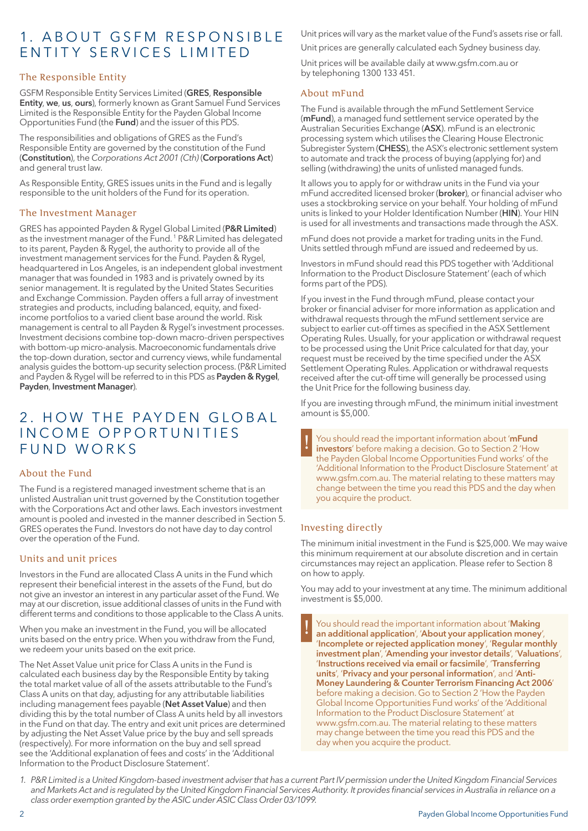# 1. A BOUT GSFM RESPONSIBLE E ntity S er v ices L imited

# The Responsible Entity

GSFM Responsible Entity Services Limited (**GRES**, **Responsible Entity**, **we**, **us**, **ours**), formerly known as Grant Samuel Fund Services Limited is the Responsible Entity for the Payden Global Income Opportunities Fund (the **Fund**) and the issuer of this PDS.

The responsibilities and obligations of GRES as the Fund's Responsible Entity are governed by the constitution of the Fund (**Constitution**), the *Corporations Act 2001 (Cth)* (**Corporations Act**) and general trust law.

As Responsible Entity, GRES issues units in the Fund and is legally responsible to the unit holders of the Fund for its operation.

# The Investment Manager

GRES has appointed Payden & Rygel Global Limited (**P&R Limited**) as the investment manager of the Fund. 1 P&R Limited has delegated to its parent, Payden & Rygel, the authority to provide all of the investment management services for the Fund. Payden & Rygel, headquartered in Los Angeles, is an independent global investment manager that was founded in 1983 and is privately owned by its senior management. It is regulated by the United States Securities and Exchange Commission. Payden offers a full array of investment strategies and products, including balanced, equity, and fixedincome portfolios to a varied client base around the world. Risk management is central to all Payden & Rygel's investment processes. Investment decisions combine top-down macro-driven perspectives with bottom-up micro-analysis. Macroeconomic fundamentals drive the top-down duration, sector and currency views, while fundamental analysis guides the bottom-up security selection process. (P&R Limited and Payden & Rygel will be referred to in this PDS as **Payden & Rygel**, **Payden**, **Investment Manager**).

# 2. HOW THE PAYDEN GLOBAL INCOME OPPORTUNITIES FUND WORKS

## About the Fund

The Fund is a registered managed investment scheme that is an unlisted Australian unit trust governed by the Constitution together with the Corporations Act and other laws. Each investors investment amount is pooled and invested in the manner described in Section 5. GRES operates the Fund. Investors do not have day to day control over the operation of the Fund.

# Units and unit prices

Investors in the Fund are allocated Class A units in the Fund which represent their beneficial interest in the assets of the Fund, but do not give an investor an interest in any particular asset of the Fund. We may at our discretion, issue additional classes of units in the Fund with different terms and conditions to those applicable to the Class A units.

When you make an investment in the Fund, you will be allocated units based on the entry price. When you withdraw from the Fund, we redeem your units based on the exit price.

The Net Asset Value unit price for Class A units in the Fund is calculated each business day by the Responsible Entity by taking the total market value of all of the assets attributable to the Fund's Class A units on that day, adjusting for any attributable liabilities including management fees payable (**Net Asset Value**) and then dividing this by the total number of Class A units held by all investors in the Fund on that day. The entry and exit unit prices are determined by adjusting the Net Asset Value price by the buy and sell spreads (respectively). For more information on the buy and sell spread see the 'Additional explanation of fees and costs' in the 'Additional Information to the Product Disclosure Statement'.

Unit prices will vary as the market value of the Fund's assets rise or fall.

Unit prices are generally calculated each Sydney business day.

Unit prices will be available daily at www.gsfm.com.au or by telephoning 1300 133 451.

# About mFund

The Fund is available through the mFund Settlement Service (**mFund**), a managed fund settlement service operated by the Australian Securities Exchange (**ASX**). mFund is an electronic processing system which utilises the Clearing House Electronic Subregister System (**CHESS**), the ASX's electronic settlement system to automate and track the process of buying (applying for) and selling (withdrawing) the units of unlisted managed funds.

It allows you to apply for or withdraw units in the Fund via your mFund accredited licensed broker (**broker**), or financial adviser who uses a stockbroking service on your behalf. Your holding of mFund units is linked to your Holder Identification Number (**HIN**). Your HIN is used for all investments and transactions made through the ASX.

mFund does not provide a market for trading units in the Fund. Units settled through mFund are issued and redeemed by us.

Investors in mFund should read this PDS together with 'Additional Information to the Product Disclosure Statement' (each of which forms part of the PDS).

If you invest in the Fund through mFund, please contact your broker or financial adviser for more information as application and withdrawal requests through the mFund settlement service are subject to earlier cut-off times as specified in the ASX Settlement Operating Rules. Usually, for your application or withdrawal request to be processed using the Unit Price calculated for that day, your request must be received by the time specified under the ASX Settlement Operating Rules. Application or withdrawal requests received after the cut-off time will generally be processed using the Unit Price for the following business day.

If you are investing through mFund, the minimum initial investment amount is \$5,000.

! You should read the important information about '**mFund investors**' before making a decision. Go to Section 2 'How the Payden Global Income Opportunities Fund works' of the 'Additional Information to the Product Disclosure Statement' at www.gsfm.com.au. The material relating to these matters may change between the time you read this PDS and the day when you acquire the product.

# Investing directly

The minimum initial investment in the Fund is \$25,000. We may waive this minimum requirement at our absolute discretion and in certain circumstances may reject an application. Please refer to Section 8 on how to apply.

You may add to your investment at any time. The minimum additional investment is \$5,000.

! You should read the important information about '**Making an additional application**', '**About your application money**', '**Incomplete or rejected application money**', '**Regular monthly investment plan**', '**Amending your investor details**', '**Valuations**', '**Instructions received via email or facsimile**', '**Transferring units**', '**Privacy and your personal information**', and '**Anti-Money Laundering & Counter Terrorism Financing Act 2006**' before making a decision. Go to Section 2 'How the Payden Global Income Opportunities Fund works' of the 'Additional Information to the Product Disclosure Statement' at www.gsfm.com.au. The material relating to these matters may change between the time you read this PDS and the day when you acquire the product.

*1. P&R Limited is a United Kingdom-based investment adviser that has a current Part IV permission under the United Kingdom Financial Services and Markets Act and is regulated by the United Kingdom Financial Services Authority. It provides financial services in Australia in reliance on a class order exemption granted by the ASIC under ASIC Class Order 03/1099.*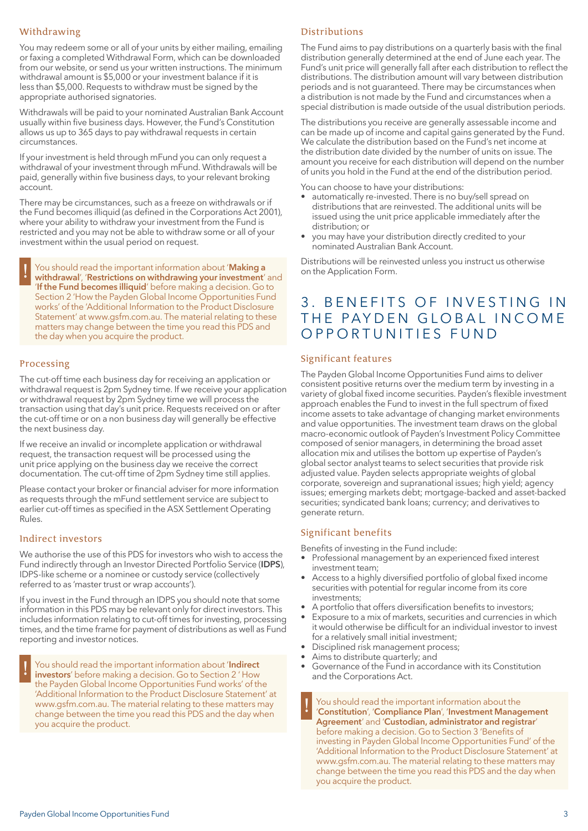## Withdrawing

You may redeem some or all of your units by either mailing, emailing or faxing a completed Withdrawal Form, which can be downloaded from our website, or send us your written instructions. The minimum withdrawal amount is \$5,000 or your investment balance if it is less than \$5,000. Requests to withdraw must be signed by the appropriate authorised signatories.

Withdrawals will be paid to your nominated Australian Bank Account usually within five business days. However, the Fund's Constitution allows us up to 365 days to pay withdrawal requests in certain circumstances.

If your investment is held through mFund you can only request a withdrawal of your investment through mFund. Withdrawals will be paid, generally within five business days, to your relevant broking account.

There may be circumstances, such as a freeze on withdrawals or if the Fund becomes illiquid (as defined in the Corporations Act 2001), where your ability to withdraw your investment from the Fund is restricted and you may not be able to withdraw some or all of your investment within the usual period on request.

! You should read the important information about '**Making a withdrawal**', '**Restrictions on withdrawing your investment**' and '**If the Fund becomes illiquid**' before making a decision. Go to Section 2 'How the Payden Global Income Opportunities Fund works' of the 'Additional Information to the Product Disclosure Statement' at www.gsfm.com.au. The material relating to these matters may change between the time you read this PDS and the day when you acquire the product.

### Processing

The cut-off time each business day for receiving an application or withdrawal request is 2pm Sydney time. If we receive your application or withdrawal request by 2pm Sydney time we will process the transaction using that day's unit price. Requests received on or after the cut-off time or on a non business day will generally be effective the next business day.

If we receive an invalid or incomplete application or withdrawal request, the transaction request will be processed using the unit price applying on the business day we receive the correct documentation. The cut-off time of 2pm Sydney time still applies.

Please contact your broker or financial adviser for more information as requests through the mFund settlement service are subject to earlier cut-off times as specified in the ASX Settlement Operating Rules.

#### Indirect investors

We authorise the use of this PDS for investors who wish to access the Fund indirectly through an Investor Directed Portfolio Service (**IDPS**), IDPS-like scheme or a nominee or custody service (collectively referred to as 'master trust or wrap accounts').

If you invest in the Fund through an IDPS you should note that some information in this PDS may be relevant only for direct investors. This includes information relating to cut-off times for investing, processing times, and the time frame for payment of distributions as well as Fund reporting and investor notices.

! You should read the important information about '**Indirect investors**' before making a decision. Go to Section 2 ' How the Payden Global Income Opportunities Fund works' of the 'Additional Information to the Product Disclosure Statement' at www.gsfm.com.au. The material relating to these matters may change between the time you read this PDS and the day when you acquire the product.

## Distributions

The Fund aims to pay distributions on a quarterly basis with the final distribution generally determined at the end of June each year. The Fund's unit price will generally fall after each distribution to reflect the distributions. The distribution amount will vary between distribution periods and is not guaranteed. There may be circumstances when a distribution is not made by the Fund and circumstances when a special distribution is made outside of the usual distribution periods.

The distributions you receive are generally assessable income and can be made up of income and capital gains generated by the Fund. We calculate the distribution based on the Fund's net income at the distribution date divided by the number of units on issue. The amount you receive for each distribution will depend on the number of units you hold in the Fund at the end of the distribution period.

You can choose to have your distributions:

- automatically re-invested. There is no buy/sell spread on distributions that are reinvested. The additional units will be issued using the unit price applicable immediately after the distribution; or
- you may have your distribution directly credited to your nominated Australian Bank Account.

Distributions will be reinvested unless you instruct us otherwise on the Application Form.

# 3. BENEFITS OF INVESTING IN THE PAYDEN GLOBAL INCOME OPPORTUNITIES FUND

### Significant features

The Payden Global Income Opportunities Fund aims to deliver consistent positive returns over the medium term by investing in a variety of global fixed income securities. Payden's flexible investment approach enables the Fund to invest in the full spectrum of fixed income assets to take advantage of changing market environments and value opportunities. The investment team draws on the global macro-economic outlook of Payden's Investment Policy Committee composed of senior managers, in determining the broad asset allocation mix and utilises the bottom up expertise of Payden's global sector analyst teams to select securities that provide risk adjusted value. Payden selects appropriate weights of global corporate, sovereign and supranational issues; high yield; agency issues; emerging markets debt; mortgage-backed and asset-backed securities; syndicated bank loans; currency; and derivatives to generate return.

### Significant benefits

Benefits of investing in the Fund include:

- Professional management by an experienced fixed interest investment team;
- Access to a highly diversified portfolio of global fixed income securities with potential for regular income from its core investments;
- A portfolio that offers diversification benefits to investors;
- Exposure to a mix of markets, securities and currencies in which it would otherwise be difficult for an individual investor to invest for a relatively small initial investment;
- Disciplined risk management process;
- Aims to distribute quarterly; and
- Governance of the Fund in accordance with its Constitution and the Corporations Act.

! You should read the important information about the '**Constitution**', '**Compliance Plan**', '**Investment Management Agreement**' and '**Custodian, administrator and registrar**' before making a decision. Go to Section 3 'Benefits of investing in Payden Global Income Opportunities Fund' of the 'Additional Information to the Product Disclosure Statement' at www.gsfm.com.au. The material relating to these matters may change between the time you read this PDS and the day when you acquire the product.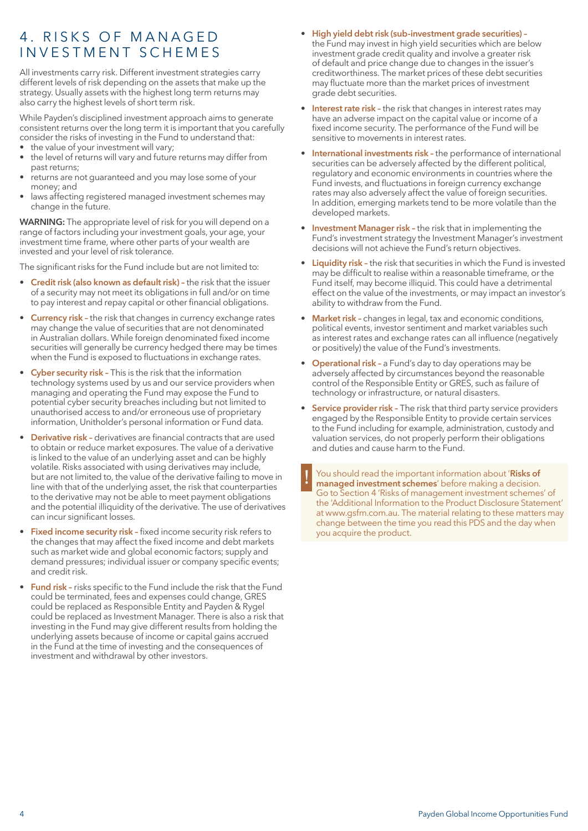# 4. RISKS OF MANAGED in v estment schemes

All investments carry risk. Different investment strategies carry different levels of risk depending on the assets that make up the strategy. Usually assets with the highest long term returns may also carry the highest levels of short term risk.

While Payden's disciplined investment approach aims to generate consistent returns over the long term it is important that you carefully consider the risks of investing in the Fund to understand that:

- the value of your investment will vary;
- the level of returns will vary and future returns may differ from past returns;
- returns are not guaranteed and you may lose some of your money; and
- laws affecting registered managed investment schemes may change in the future.

**WARNING:** The appropriate level of risk for you will depend on a range of factors including your investment goals, your age, your investment time frame, where other parts of your wealth are invested and your level of risk tolerance.

The significant risks for the Fund include but are not limited to:

- **Credit risk (also known as default risk) –** the risk that the issuer of a security may not meet its obligations in full and/or on time to pay interest and repay capital or other financial obligations.
- **Currency risk -** the risk that changes in currency exchange rates may change the value of securities that are not denominated in Australian dollars. While foreign denominated fixed income securities will generally be currency hedged there may be times when the Fund is exposed to fluctuations in exchange rates.
- **Cyber security risk –** This is the risk that the information technology systems used by us and our service providers when managing and operating the Fund may expose the Fund to potential cyber security breaches including but not limited to unauthorised access to and/or erroneous use of proprietary information, Unitholder's personal information or Fund data.
- **Derivative risk –** derivatives are financial contracts that are used to obtain or reduce market exposures. The value of a derivative is linked to the value of an underlying asset and can be highly volatile. Risks associated with using derivatives may include, but are not limited to, the value of the derivative failing to move in line with that of the underlying asset, the risk that counterparties to the derivative may not be able to meet payment obligations and the potential illiquidity of the derivative. The use of derivatives can incur significant losses.
- **Fixed income security risk –** fixed income security risk refers to the changes that may affect the fixed income and debt markets such as market wide and global economic factors; supply and demand pressures; individual issuer or company specific events; and credit risk.
- **Fund risk –** risks specific to the Fund include the risk that the Fund could be terminated, fees and expenses could change, GRES could be replaced as Responsible Entity and Payden & Rygel could be replaced as Investment Manager. There is also a risk that investing in the Fund may give different results from holding the underlying assets because of income or capital gains accrued in the Fund at the time of investing and the consequences of investment and withdrawal by other investors.
- **High yield debt risk (sub-investment grade securities) –** the Fund may invest in high yield securities which are below investment grade credit quality and involve a greater risk of default and price change due to changes in the issuer's creditworthiness. The market prices of these debt securities may fluctuate more than the market prices of investment grade debt securities.
- **Interest rate risk -** the risk that changes in interest rates may have an adverse impact on the capital value or income of a fixed income security. The performance of the Fund will be sensitive to movements in interest rates.
- **International investments risk -** the performance of international securities can be adversely affected by the different political, regulatory and economic environments in countries where the Fund invests, and fluctuations in foreign currency exchange rates may also adversely affect the value of foreign securities. In addition, emerging markets tend to be more volatile than the developed markets.
- **Investment Manager risk –** the risk that in implementing the Fund's investment strategy the Investment Manager's investment decisions will not achieve the Fund's return objectives.
- **Liquidity risk –** the risk that securities in which the Fund is invested may be difficult to realise within a reasonable timeframe, or the Fund itself, may become illiquid. This could have a detrimental effect on the value of the investments, or may impact an investor's ability to withdraw from the Fund.
- **Market risk –** changes in legal, tax and economic conditions, political events, investor sentiment and market variables such as interest rates and exchange rates can all influence (negatively or positively) the value of the Fund's investments.
- **Operational risk –** a Fund's day to day operations may be adversely affected by circumstances beyond the reasonable control of the Responsible Entity or GRES, such as failure of technology or infrastructure, or natural disasters.
- **Service provider risk -** The risk that third party service providers engaged by the Responsible Entity to provide certain services to the Fund including for example, administration, custody and valuation services, do not properly perform their obligations and duties and cause harm to the Fund.

! You should read the important information about '**Risks of managed investment schemes**' before making a decision. Go to Section 4 'Risks of management investment schemes' of the 'Additional Information to the Product Disclosure Statement' at www.gsfm.com.au. The material relating to these matters may change between the time you read this PDS and the day when you acquire the product.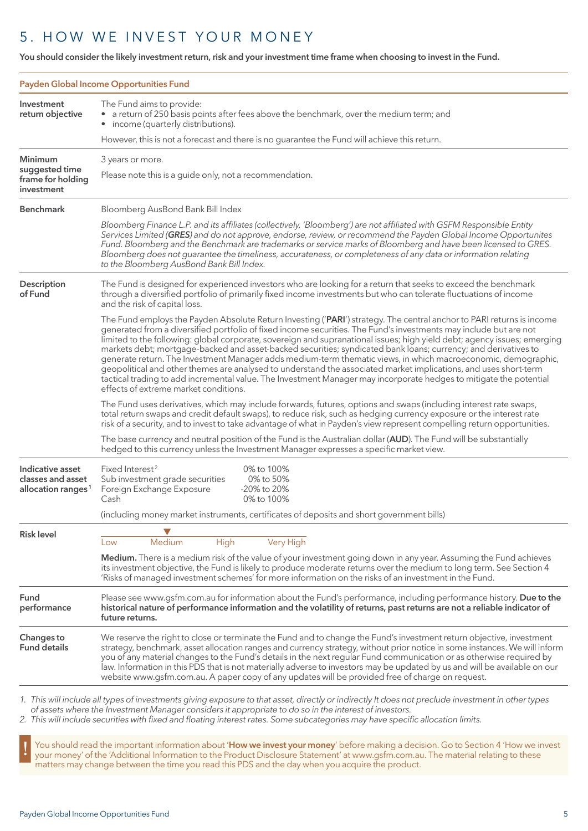# 5. HOW WE INVEST YOUR MONEY

**You should consider the likely investment return, risk and your investment time frame when choosing to invest in the Fund.**

|                                                                         | Payden Global Income Opportunities Fund                                                                                                                                                                                                                                                                                                                                                                                                                                                                                                                                                                                                                                                                                                                                                                                                                                                      |  |  |
|-------------------------------------------------------------------------|----------------------------------------------------------------------------------------------------------------------------------------------------------------------------------------------------------------------------------------------------------------------------------------------------------------------------------------------------------------------------------------------------------------------------------------------------------------------------------------------------------------------------------------------------------------------------------------------------------------------------------------------------------------------------------------------------------------------------------------------------------------------------------------------------------------------------------------------------------------------------------------------|--|--|
| Investment<br>return objective                                          | The Fund aims to provide:<br>a return of 250 basis points after fees above the benchmark, over the medium term; and<br>income (quarterly distributions).<br>$\bullet$                                                                                                                                                                                                                                                                                                                                                                                                                                                                                                                                                                                                                                                                                                                        |  |  |
|                                                                         | However, this is not a forecast and there is no guarantee the Fund will achieve this return.                                                                                                                                                                                                                                                                                                                                                                                                                                                                                                                                                                                                                                                                                                                                                                                                 |  |  |
| <b>Minimum</b><br>suggested time<br>frame for holding<br>investment     | 3 years or more.<br>Please note this is a guide only, not a recommendation.                                                                                                                                                                                                                                                                                                                                                                                                                                                                                                                                                                                                                                                                                                                                                                                                                  |  |  |
| <b>Benchmark</b>                                                        | Bloomberg AusBond Bank Bill Index                                                                                                                                                                                                                                                                                                                                                                                                                                                                                                                                                                                                                                                                                                                                                                                                                                                            |  |  |
|                                                                         | Bloomberg Finance L.P. and its affiliates (collectively, 'Bloomberg') are not affiliated with GSFM Responsible Entity<br>Services Limited (GRES) and do not approve, endorse, review, or recommend the Payden Global Income Opportunites<br>Fund. Bloomberg and the Benchmark are trademarks or service marks of Bloomberg and have been licensed to GRES.<br>Bloomberg does not guarantee the timeliness, accurateness, or completeness of any data or information relating<br>to the Bloomberg AusBond Bank Bill Index.                                                                                                                                                                                                                                                                                                                                                                    |  |  |
| Description<br>of Fund                                                  | The Fund is designed for experienced investors who are looking for a return that seeks to exceed the benchmark<br>through a diversified portfolio of primarily fixed income investments but who can tolerate fluctuations of income<br>and the risk of capital loss.                                                                                                                                                                                                                                                                                                                                                                                                                                                                                                                                                                                                                         |  |  |
|                                                                         | The Fund employs the Payden Absolute Return Investing ('PARI') strategy. The central anchor to PARI returns is income<br>generated from a diversified portfolio of fixed income securities. The Fund's investments may include but are not<br>limited to the following: global corporate, sovereign and supranational issues; high yield debt; agency issues; emerging<br>markets debt; mortgage-backed and asset-backed securities; syndicated bank loans; currency; and derivatives to<br>generate return. The Investment Manager adds medium-term thematic views, in which macroeconomic, demographic,<br>geopolitical and other themes are analysed to understand the associated market implications, and uses short-term<br>tactical trading to add incremental value. The Investment Manager may incorporate hedges to mitigate the potential<br>effects of extreme market conditions. |  |  |
|                                                                         | The Fund uses derivatives, which may include forwards, futures, options and swaps (including interest rate swaps,<br>total return swaps and credit default swaps), to reduce risk, such as hedging currency exposure or the interest rate<br>risk of a security, and to invest to take advantage of what in Payden's view represent compelling return opportunities.                                                                                                                                                                                                                                                                                                                                                                                                                                                                                                                         |  |  |
|                                                                         | The base currency and neutral position of the Fund is the Australian dollar (AUD). The Fund will be substantially<br>hedged to this currency unless the Investment Manager expresses a specific market view.                                                                                                                                                                                                                                                                                                                                                                                                                                                                                                                                                                                                                                                                                 |  |  |
| Indicative asset<br>classes and asset<br>allocation ranges <sup>1</sup> | Fixed Interest <sup>2</sup><br>0% to 100%<br>Sub investment grade securities<br>0% to 50%<br>-20% to 20%<br>Foreign Exchange Exposure<br>0% to 100%<br>Cash                                                                                                                                                                                                                                                                                                                                                                                                                                                                                                                                                                                                                                                                                                                                  |  |  |
|                                                                         | (including money market instruments, certificates of deposits and short government bills)                                                                                                                                                                                                                                                                                                                                                                                                                                                                                                                                                                                                                                                                                                                                                                                                    |  |  |
| <b>Risk level</b>                                                       |                                                                                                                                                                                                                                                                                                                                                                                                                                                                                                                                                                                                                                                                                                                                                                                                                                                                                              |  |  |
|                                                                         | Very High<br>Medium<br>High<br>Low<br>Medium. There is a medium risk of the value of your investment going down in any year. Assuming the Fund achieves<br>its investment objective, the Fund is likely to produce moderate returns over the medium to long term. See Section 4<br>'Risks of managed investment schemes' for more information on the risks of an investment in the Fund.                                                                                                                                                                                                                                                                                                                                                                                                                                                                                                     |  |  |
| Fund<br>performance                                                     | Please see www.gsfm.com.au for information about the Fund's performance, including performance history. Due to the<br>historical nature of performance information and the volatility of returns, past returns are not a reliable indicator of<br>future returns.                                                                                                                                                                                                                                                                                                                                                                                                                                                                                                                                                                                                                            |  |  |
| Changes to<br><b>Fund details</b>                                       | We reserve the right to close or terminate the Fund and to change the Fund's investment return objective, investment<br>strategy, benchmark, asset allocation ranges and currency strategy, without prior notice in some instances. We will inform<br>you of any material changes to the Fund's details in the next regular Fund communication or as otherwise required by<br>law. Information in this PDS that is not materially adverse to investors may be updated by us and will be available on our<br>website www.gsfm.com.au. A paper copy of any updates will be provided free of charge on request.                                                                                                                                                                                                                                                                                 |  |  |
|                                                                         | 1. This will include all types of investments giving exposure to that asset, directly or indirectly It does not preclude investment in other types                                                                                                                                                                                                                                                                                                                                                                                                                                                                                                                                                                                                                                                                                                                                           |  |  |

*of assets where the Investment Manager considers it appropriate to do so in the interest of investors.*

*2. This will include securities with fixed and floating interest rates. Some subcategories may have specific allocation limits.*

I You should read the important information about 'How we invest your money' before making a decision. Go to Section 4 'How we invest<br>your money' of the 'Additional Information to the Product Disclosure Statement' at www.g matters may change between the time you read this PDS and the day when you acquire the product.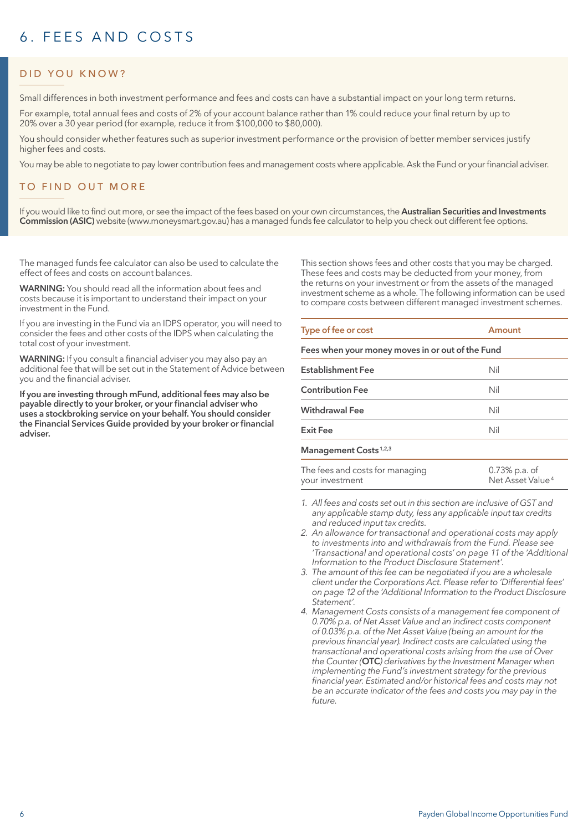# 6. FFFS AND COSTS

# DID YOU KNOW?

Small differences in both investment performance and fees and costs can have a substantial impact on your long term returns.

For example, total annual fees and costs of 2% of your account balance rather than 1% could reduce your final return by up to 20% over a 30 year period (for example, reduce it from \$100,000 to \$80,000).

You should consider whether features such as superior investment performance or the provision of better member services justify higher fees and costs.

You may be able to negotiate to pay lower contribution fees and management costs where applicable. Ask the Fund or your financial adviser.

# TO FIND OUT MORE

If you would like to find out more, or see the impact of the fees based on your own circumstances, the **Australian Securities and Investments Commission (ASIC)** website (www.moneysmart.gov.au) has a managed funds fee calculator to help you check out different fee options.

The managed funds fee calculator can also be used to calculate the effect of fees and costs on account balances.

**WARNING:** You should read all the information about fees and costs because it is important to understand their impact on your investment in the Fund.

If you are investing in the Fund via an IDPS operator, you will need to consider the fees and other costs of the IDPS when calculating the total cost of your investment.

**WARNING:** If you consult a financial adviser you may also pay an additional fee that will be set out in the Statement of Advice between you and the financial adviser.

**If you are investing through mFund, additional fees may also be payable directly to your broker, or your financial adviser who uses a stockbroking service on your behalf. You should consider the Financial Services Guide provided by your broker or financial adviser.**

This section shows fees and other costs that you may be charged. These fees and costs may be deducted from your money, from the returns on your investment or from the assets of the managed investment scheme as a whole. The following information can be used to compare costs between different managed investment schemes.

| Type of fee or cost                              | Amount |  |  |  |
|--------------------------------------------------|--------|--|--|--|
| Fees when your money moves in or out of the Fund |        |  |  |  |
| <b>Establishment Fee</b>                         | Nil    |  |  |  |
| <b>Contribution Fee</b>                          | Nil    |  |  |  |
| <b>Withdrawal Fee</b>                            | Nil    |  |  |  |
| <b>Exit Fee</b>                                  | Nil    |  |  |  |
|                                                  |        |  |  |  |

#### **Management Costs 1,2,3**

| The fees and costs for managing | 0.73% p.a. of                |
|---------------------------------|------------------------------|
| your investment                 | Net Asset Value <sup>4</sup> |

- *1. All fees and costs set out in this section are inclusive of GST and any applicable stamp duty, less any applicable input tax credits and reduced input tax credits.*
- *2. An allowance for transactional and operational costs may apply to investments into and withdrawals from the Fund. Please see 'Transactional and operational costs' on page 11 of the 'Additional Information to the Product Disclosure Statement'.*
- *3. The amount of this fee can be negotiated if you are a wholesale client under the Corporations Act. Please refer to 'Differential fees' on page 12 of the 'Additional Information to the Product Disclosure Statement'.*
- *4. Management Costs consists of a management fee component of 0.70% p.a. of Net Asset Value and an indirect costs component of 0.03% p.a. of the Net Asset Value (being an amount for the previous financial year). Indirect costs are calculated using the transactional and operational costs arising from the use of Over the Counter (***OTC***) derivatives by the Investment Manager when implementing the Fund's investment strategy for the previous financial year. Estimated and/or historical fees and costs may not be an accurate indicator of the fees and costs you may pay in the future.*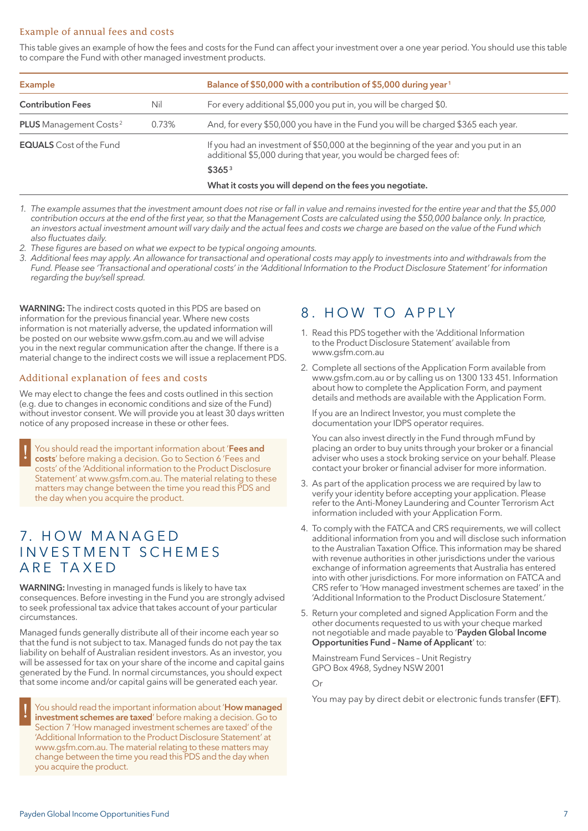# Example of annual fees and costs

This table gives an example of how the fees and costs for the Fund can affect your investment over a one year period. You should use this table to compare the Fund with other managed investment products.

| <b>Example</b>                            |       | Balance of \$50,000 with a contribution of \$5,000 during year <sup>1</sup>                                                                               |
|-------------------------------------------|-------|-----------------------------------------------------------------------------------------------------------------------------------------------------------|
| <b>Contribution Fees</b>                  | Nil   | For every additional \$5,000 you put in, you will be charged \$0.                                                                                         |
| <b>PLUS</b> Management Costs <sup>2</sup> | 0.73% | And, for every \$50,000 you have in the Fund you will be charged \$365 each year.                                                                         |
| <b>EQUALS</b> Cost of the Fund            |       | If you had an investment of \$50,000 at the beginning of the year and you put in an<br>additional \$5,000 during that year, you would be charged fees of: |
|                                           |       | \$365 <sup>3</sup>                                                                                                                                        |
|                                           |       | What it costs you will depend on the fees you negotiate.                                                                                                  |

*1. The example assumes that the investment amount does not rise or fall in value and remains invested for the entire year and that the \$5,000 contribution occurs at the end of the first year, so that the Management Costs are calculated using the \$50,000 balance only. In practice, an investors actual investment amount will vary daily and the actual fees and costs we charge are based on the value of the Fund which also fluctuates daily.*

*2. These figures are based on what we expect to be typical ongoing amounts.*

*3. Additional fees may apply. An allowance for transactional and operational costs may apply to investments into and withdrawals from the Fund. Please see 'Transactional and operational costs' in the 'Additional Information to the Product Disclosure Statement' for information regarding the buy/sell spread.*

**WARNING:** The indirect costs quoted in this PDS are based on information for the previous financial year. Where new costs information is not materially adverse, the updated information will be posted on our website www.gsfm.com.au and we will advise you in the next regular communication after the change. If there is a material change to the indirect costs we will issue a replacement PDS.

### Additional explanation of fees and costs

We may elect to change the fees and costs outlined in this section (e.g. due to changes in economic conditions and size of the Fund) without investor consent. We will provide you at least 30 days written notice of any proposed increase in these or other fees.

! You should read the important information about '**Fees and costs**' before making a decision. Go to Section 6 'Fees and costs' of the 'Additional information to the Product Disclosure Statement' at www.gsfm.com.au. The material relating to these matters may change between the time you read this PDS and the day when you acquire the product.

# 7. HOW MANAGED in v estment schemes are taxed

**WARNING:** Investing in managed funds is likely to have tax consequences. Before investing in the Fund you are strongly advised to seek professional tax advice that takes account of your particular circumstances.

Managed funds generally distribute all of their income each year so that the fund is not subject to tax. Managed funds do not pay the tax liability on behalf of Australian resident investors. As an investor, you will be assessed for tax on your share of the income and capital gains generated by the Fund. In normal circumstances, you should expect that some income and/or capital gains will be generated each year.

! You should read the important information about '**How managed investment schemes are taxed**' before making a decision. Go to Section 7 'How managed investment schemes are taxed' of the 'Additional Information to the Product Disclosure Statement' at www.gsfm.com.au. The material relating to these matters may change between the time you read this PDS and the day when you acquire the product.

# 8. HOW TO APPIY

- 1. Read this PDS together with the 'Additional Information to the Product Disclosure Statement' available from www.gsfm.com.au
- 2. Complete all sections of the Application Form available from www.gsfm.com.au or by calling us on 1300 133 451. Information about how to complete the Application Form, and payment details and methods are available with the Application Form.

If you are an Indirect Investor, you must complete the documentation your IDPS operator requires.

You can also invest directly in the Fund through mFund by placing an order to buy units through your broker or a financial adviser who uses a stock broking service on your behalf. Please contact your broker or financial adviser for more information.

- 3. As part of the application process we are required by law to verify your identity before accepting your application. Please refer to the Anti-Money Laundering and Counter Terrorism Act information included with your Application Form.
- 4. To comply with the FATCA and CRS requirements, we will collect additional information from you and will disclose such information to the Australian Taxation Office. This information may be shared with revenue authorities in other jurisdictions under the various exchange of information agreements that Australia has entered into with other jurisdictions. For more information on FATCA and CRS refer to 'How managed investment schemes are taxed' in the 'Additional Information to the Product Disclosure Statement.'
- 5. Return your completed and signed Application Form and the other documents requested to us with your cheque marked not negotiable and made payable to '**Payden Global Income Opportunities Fund – Name of Applicant**' to:

Mainstream Fund Services – Unit Registry GPO Box 4968, Sydney NSW 2001

Or

You may pay by direct debit or electronic funds transfer (**EFT**).